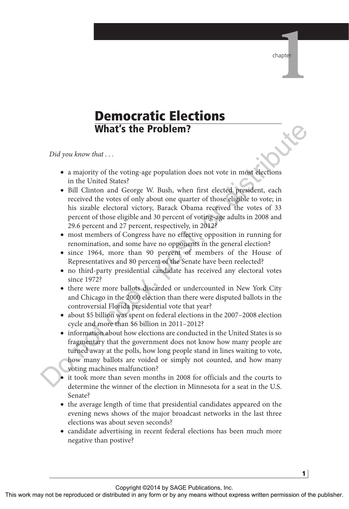**1** chapter

# Democratic Elections What's the Problem?

*Did you know that . . .*

- a majority of the voting-age population does not vote in most elections in the United States?
- Bill Clinton and George W. Bush, when first elected president, each received the votes of only about one quarter of those eligible to vote; in his sizable electoral victory, Barack Obama received the votes of 33 percent of those eligible and 30 percent of voting-age adults in 2008 and 29.6 percent and 27 percent, respectively, in 2012? **What's the Problem?**<br>
Did you know that ...<br>
in a majority of the voting-age population does not vote in may dicchans<br>
in the Linkos and George W. Bush, when first elected president, each<br>
received in vote of the poet of
	- most members of Congress have no effective opposition in running for renomination, and some have no opponents in the general election?
	- since 1964, more than 90 percent of members of the House of Representatives and 80 percent of the Senate have been reelected?
	- no third-party presidential candidate has received any electoral votes since 1972?
	- there were more ballots discarded or undercounted in New York City and Chicago in the 2000 election than there were disputed ballots in the controversial Florida presidential vote that year?
	- about \$5 billion was spent on federal elections in the 2007–2008 election cycle and more than \$6 billion in 2011–2012?
	- information about how elections are conducted in the United States is so fragmentary that the government does not know how many people are turned away at the polls, how long people stand in lines waiting to vote, how many ballots are voided or simply not counted, and how many voting machines malfunction?
	- it took more than seven months in 2008 for officials and the courts to determine the winner of the election in Minnesota for a seat in the U.S. Senate?
	- the average length of time that presidential candidates appeared on the evening news shows of the major broadcast networks in the last three elections was about seven seconds?
	- candidate advertising in recent federal elections has been much more negative than postive?

1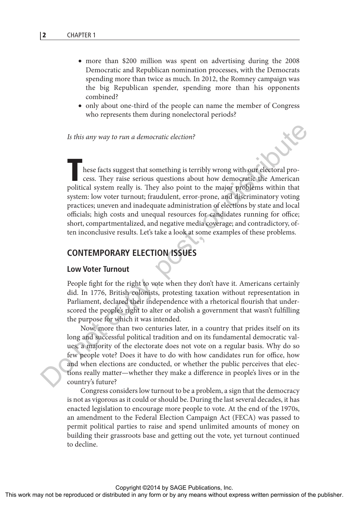- more than \$200 million was spent on advertising during the 2008 Democratic and Republican nomination processes, with the Democrats spending more than twice as much. In 2012, the Romney campaign was the big Republican spender, spending more than his opponents combined?
- only about one-third of the people can name the member of Congress who represents them during nonelectoral periods?

#### *Is this any way to run a democratic election?*

hese facts suggest that something is terribly wrong with our electoral process. They raise serious questions about how democratic the American political system really is. They also point to the major problems within that system: low voter turnout; fraudulent, error-prone, and discriminatory voting practices; uneven and inadequate administration of elections by state and local officials; high costs and unequal resources for candidates running for office; short, compartmentalized, and negative media coverage; and contradictory, often inconclusive results. Let's take a look at some examples of these problems. Is this any way to reata democratic dection?<br>
These focts written we distributed in any form or the representation of the representation of the publisher of the publisher of the publisher. The content of the publisher is

### **CONTEMPORARY ELECTION ISSUES**

### **Low Voter Turnout**

People fight for the right to vote when they don't have it. Americans certainly did. In 1776, British colonists, protesting taxation without representation in Parliament, declared their independence with a rhetorical flourish that underscored the people's right to alter or abolish a government that wasn't fulfilling the purpose for which it was intended.

Now, more than two centuries later, in a country that prides itself on its long and successful political tradition and on its fundamental democratic values, a majority of the electorate does not vote on a regular basis. Why do so few people vote? Does it have to do with how candidates run for office, how and when elections are conducted, or whether the public perceives that elections really matter—whether they make a difference in people's lives or in the country's future?

Congress considers low turnout to be a problem, a sign that the democracy is not as vigorous as it could or should be. During the last several decades, it has enacted legislation to encourage more people to vote. At the end of the 1970s, an amendment to the Federal Election Campaign Act (FECA) was passed to permit political parties to raise and spend unlimited amounts of money on building their grassroots base and getting out the vote, yet turnout continued to decline.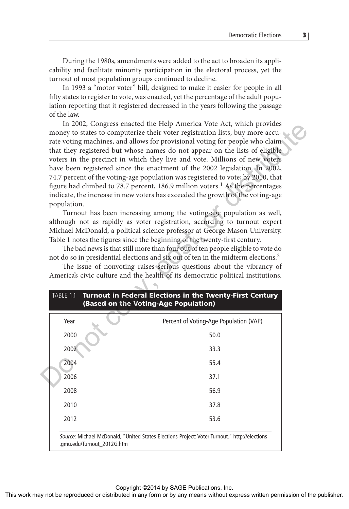During the 1980s, amendments were added to the act to broaden its applicability and facilitate minority participation in the electoral process, yet the turnout of most population groups continued to decline.

In 1993 a "motor voter" bill, designed to make it easier for people in all fifty states to register to vote, was enacted, yet the percentage of the adult population reporting that it registered decreased in the years following the passage of the law.

|                            | money to states to computerize their voter registration lists, buy more accu-                                                                             |
|----------------------------|-----------------------------------------------------------------------------------------------------------------------------------------------------------|
|                            | rate voting machines, and allows for provisional voting for people who claim                                                                              |
|                            | that they registered but whose names do not appear on the lists of eligible                                                                               |
|                            | voters in the precinct in which they live and vote. Millions of new voters                                                                                |
|                            | have been registered since the enactment of the 2002 legislation. In 2002,                                                                                |
|                            | 74.7 percent of the voting-age population was registered to vote; by 2010, that                                                                           |
|                            | figure had climbed to 78.7 percent, 186.9 million voters. <sup>1</sup> As the percentages                                                                 |
|                            | indicate, the increase in new voters has exceeded the growth of the voting-age                                                                            |
| population.                |                                                                                                                                                           |
|                            | Turnout has been increasing among the voting-age population as well,                                                                                      |
|                            | although not as rapidly as voter registration, according to turnout expert                                                                                |
|                            | Michael McDonald, a political science professor at George Mason University.<br>Table 1 notes the figures since the beginning of the twenty-first century. |
|                            | The bad news is that still more than four out of ten people eligible to vote do                                                                           |
|                            | not do so in presidential elections and six out of ten in the midterm elections. <sup>2</sup>                                                             |
|                            | The issue of nonvoting raises serious questions about the vibrancy of                                                                                     |
|                            | America's civic culture and the health of its democratic political institutions.                                                                          |
|                            |                                                                                                                                                           |
| TABLE 1.1                  | Turnout in Federal Elections in the Twenty-First Century                                                                                                  |
|                            | (Based on the Voting-Age Population)                                                                                                                      |
|                            |                                                                                                                                                           |
| Year                       | Percent of Voting-Age Population (VAP)                                                                                                                    |
| 2000                       | 50.0                                                                                                                                                      |
| 2002                       | 33.3                                                                                                                                                      |
|                            |                                                                                                                                                           |
|                            | 55.4                                                                                                                                                      |
| 2004                       |                                                                                                                                                           |
| 2006                       | 37.1                                                                                                                                                      |
| 2008                       | 56.9                                                                                                                                                      |
|                            |                                                                                                                                                           |
| 2010                       | 37.8                                                                                                                                                      |
| 2012                       | 53.6                                                                                                                                                      |
|                            |                                                                                                                                                           |
| .gmu.edu/Turnout_2012G.htm | Source: Michael McDonald, "United States Elections Project: Voter Turnout." http://elections                                                              |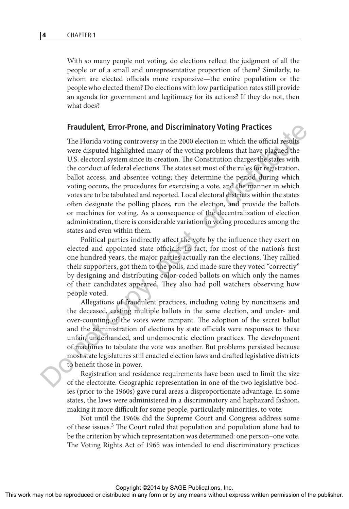With so many people not voting, do elections reflect the judgment of all the people or of a small and unrepresentative proportion of them? Similarly, to whom are elected officials more responsive—the entire population or the people who elected them? Do elections with low participation rates still provide an agenda for government and legitimacy for its actions? If they do not, then what does?

### **Fraudulent, Error-Prone, and Discriminatory Voting Practices**

The Florida voting controversy in the 2000 election in which the official results were disputed highlighted many of the voting problems that have plagued the U.S. electoral system since its creation. The Constitution charges the states with the conduct of federal elections. The states set most of the rules for registration, ballot access, and absentee voting; they determine the period during which voting occurs, the procedures for exercising a vote, and the manner in which votes are to be tabulated and reported. Local electoral districts within the states often designate the polling places, run the election, and provide the ballots or machines for voting. As a consequence of the decentralization of election administration, there is considerable variation in voting procedures among the states and even within them. **Fractule definited in any firstificant or the reproduced or the reproduced or the reproduced or the reproduced or the reproduced or the publisher to the depth of the results of the publisher. This depends the results of** 

Political parties indirectly affect the vote by the influence they exert on elected and appointed state officials. In fact, for most of the nation's first one hundred years, the major parties actually ran the elections. They rallied their supporters, got them to the polls, and made sure they voted "correctly" by designing and distributing color-coded ballots on which only the names of their candidates appeared. They also had poll watchers observing how people voted.

Allegations of fraudulent practices, including voting by noncitizens and the deceased, casting multiple ballots in the same election, and under- and over-counting of the votes were rampant. The adoption of the secret ballot and the administration of elections by state officials were responses to these unfair, underhanded, and undemocratic election practices. The development of machines to tabulate the vote was another. But problems persisted because most state legislatures still enacted election laws and drafted legislative districts to benefit those in power.

Registration and residence requirements have been used to limit the size of the electorate. Geographic representation in one of the two legislative bodies (prior to the 1960s) gave rural areas a disproportionate advantage. In some states, the laws were administered in a discriminatory and haphazard fashion, making it more difficult for some people, particularly minorities, to vote.

Not until the 1960s did the Supreme Court and Congress address some of these issues.3 The Court ruled that population and population alone had to be the criterion by which representation was determined: one person–one vote. The Voting Rights Act of 1965 was intended to end discriminatory practices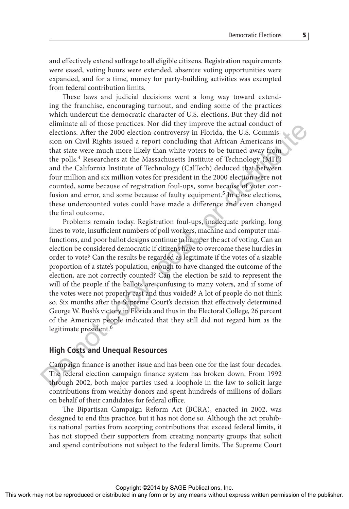and effectively extend suffrage to all eligible citizens. Registration requirements were eased, voting hours were extended, absentee voting opportunities were expanded, and for a time, money for party-building activities was exempted from federal contribution limits.

These laws and judicial decisions went a long way toward extending the franchise, encouraging turnout, and ending some of the practices which undercut the democratic character of U.S. elections. But they did not eliminate all of those practices. Nor did they improve the actual conduct of elections. After the 2000 election controversy in Florida, the U.S. Commission on Civil Rights issued a report concluding that African Americans in that state were much more likely than white voters to be turned away from the polls.4 Researchers at the Massachusetts Institute of Technology (MIT) and the California Institute of Technology (CalTech) deduced that between four million and six million votes for president in the 2000 election were not counted, some because of registration foul-ups, some because of voter confusion and error, and some because of faulty equipment.<sup>5</sup> In close elections, these undercounted votes could have made a difference and even changed the final outcome.

Problems remain today. Registration foul-ups, inadequate parking, long lines to vote, insufficient numbers of poll workers, machine and computer malfunctions, and poor ballot designs continue to hamper the act of voting. Can an election be considered democratic if citizens have to overcome these hurdles in order to vote? Can the results be regarded as legitimate if the votes of a sizable proportion of a state's population, enough to have changed the outcome of the election, are not correctly counted? Can the election be said to represent the will of the people if the ballots are confusing to many voters, and if some of the votes were not properly cast and thus voided? A lot of people do not think so. Six months after the Supreme Court's decision that effectively determined George W. Bush's victory in Florida and thus in the Electoral College, 26 percent of the American people indicated that they still did not regard him as the legitimate president.<sup>6</sup> Express and the reproduced or distributed in Archivet may the control or the reproduced in a space or the reproduced in a space of the reproduced in a space of the reproduced in the reproduced in a space of the publisher a

### **High Costs and Unequal Resources**

Campaign finance is another issue and has been one for the last four decades. The federal election campaign finance system has broken down. From 1992 through 2002, both major parties used a loophole in the law to solicit large contributions from wealthy donors and spent hundreds of millions of dollars on behalf of their candidates for federal office.

The Bipartisan Campaign Reform Act (BCRA), enacted in 2002, was designed to end this practice, but it has not done so. Although the act prohibits national parties from accepting contributions that exceed federal limits, it has not stopped their supporters from creating nonparty groups that solicit and spend contributions not subject to the federal limits. The Supreme Court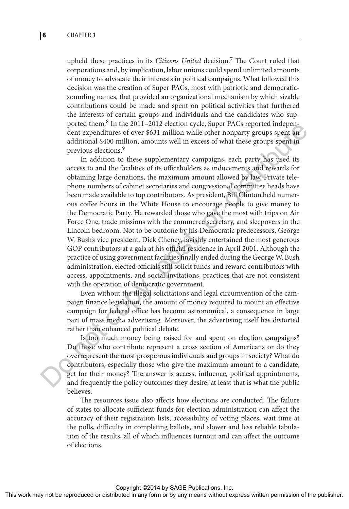upheld these practices in its *Citizens United* decision.<sup>7</sup> The Court ruled that corporations and, by implication, labor unions could spend unlimited amounts of money to advocate their interests in political campaigns. What followed this decision was the creation of Super PACs, most with patriotic and democraticsounding names, that provided an organizational mechanism by which sizable contributions could be made and spent on political activities that furthered the interests of certain groups and individuals and the candidates who supported them.<sup>8</sup> In the 2011-2012 election cycle, Super PACs reported independent expenditures of over \$631 million while other nonparty groups spent an additional \$400 million, amounts well in excess of what these groups spent in previous elections.<sup>9</sup>

In addition to these supplementary campaigns, each party has used its access to and the facilities of its officeholders as inducements and rewards for obtaining large donations, the maximum amount allowed by law. Private telephone numbers of cabinet secretaries and congressional committee heads have been made available to top contributors. As president, Bill Clinton held numerous coffee hours in the White House to encourage people to give money to the Democratic Party. He rewarded those who gave the most with trips on Air Force One, trade missions with the commerce secretary, and sleepovers in the Lincoln bedroom. Not to be outdone by his Democratic predecessors, George W. Bush's vice president, Dick Cheney, lavishly entertained the most generous GOP contributors at a gala at his official residence in April 2001. Although the practice of using government facilities finally ended during the George W. Bush administration, elected officials still solicit funds and reward contributors with access, appointments, and social invitations, practices that are not consistent with the operation of democratic government. From the reproduced or the rest with the copyright state and the rest or the rest or the rest or the rest or the distributed in a consect of the distributed in any means with the publisher. The rest or the distributed in a

Even without the illegal solicitations and legal circumvention of the campaign finance legislation, the amount of money required to mount an effective campaign for federal office has become astronomical, a consequence in large part of mass media advertising. Moreover, the advertising itself has distorted rather than enhanced political debate.

Is too much money being raised for and spent on election campaigns? Do those who contribute represent a cross section of Americans or do they overrepresent the most prosperous individuals and groups in society? What do contributors, especially those who give the maximum amount to a candidate, get for their money? The answer is access, influence, political appointments, and frequently the policy outcomes they desire; at least that is what the public believes.

The resources issue also affects how elections are conducted. The failure of states to allocate sufficient funds for election administration can affect the accuracy of their registration lists, accessibility of voting places, wait time at the polls, difficulty in completing ballots, and slower and less reliable tabulation of the results, all of which influences turnout and can affect the outcome of elections.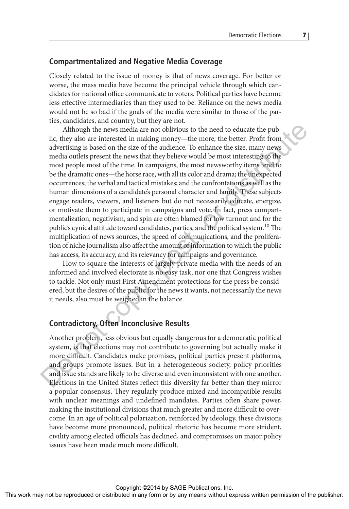### **Compartmentalized and Negative Media Coverage**

Closely related to the issue of money is that of news coverage. For better or worse, the mass media have become the principal vehicle through which candidates for national office communicate to voters. Political parties have become less effective intermediaries than they used to be. Reliance on the news media would not be so bad if the goals of the media were similar to those of the parties, candidates, and country, but they are not.

Although the news media are not oblivious to the need to educate the public, they also are interested in making money—the more, the better. Profit from advertising is based on the size of the audience. To enhance the size, many news media outlets present the news that they believe would be most interesting to the most people most of the time. In campaigns, the most newsworthy items tend to be the dramatic ones—the horse race, with all its color and drama; the unexpected occurrences; the verbal and tactical mistakes; and the confrontations as well as the human dimensions of a candidate's personal character and family. These subjects engage readers, viewers, and listeners but do not necessarily educate, energize, or motivate them to participate in campaigns and vote. In fact, press compartmentalization, negativism, and spin are often blamed for low turnout and for the public's cynical attitude toward candidates, parties, and the political system.<sup>10</sup> The multiplication of news sources, the speed of communications, and the proliferation of niche journalism also affect the amount of information to which the public has access, its accuracy, and its relevancy for campaigns and governance. Athough the news may not be better that are not be the reach the publisher than the state of the authoric state or the state of the anisotropy is bestead in the state of the state of the state or the state or the state or

How to square the interests of largely private media with the needs of an informed and involved electorate is no easy task, nor one that Congress wishes to tackle. Not only must First Amendment protections for the press be considered, but the desires of the public for the news it wants, not necessarily the news it needs, also must be weighed in the balance.

### **Contradictory, Often Inconclusive Results**

Another problem, less obvious but equally dangerous for a democratic political system, is that elections may not contribute to governing but actually make it more difficult. Candidates make promises, political parties present platforms, and groups promote issues. But in a heterogeneous society, policy priorities and issue stands are likely to be diverse and even inconsistent with one another. Elections in the United States reflect this diversity far better than they mirror a popular consensus. They regularly produce mixed and incompatible results with unclear meanings and undefined mandates. Parties often share power, making the institutional divisions that much greater and more difficult to overcome. In an age of political polarization, reinforced by ideology, these divisions have become more pronounced, political rhetoric has become more strident, civility among elected officials has declined, and compromises on major policy issues have been made much more difficult.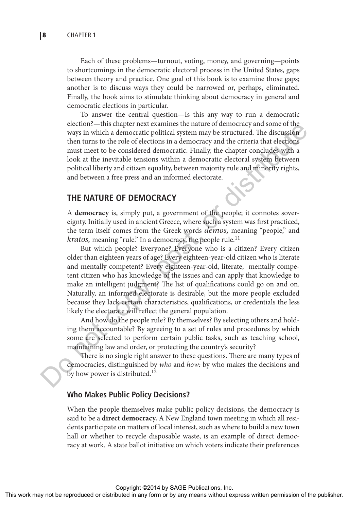Each of these problems—turnout, voting, money, and governing—points to shortcomings in the democratic electoral process in the United States, gaps between theory and practice. One goal of this book is to examine those gaps; another is to discuss ways they could be narrowed or, perhaps, eliminated. Finally, the book aims to stimulate thinking about democracy in general and democratic elections in particular.

To answer the central question—Is this any way to run a democratic election?—this chapter next examines the nature of democracy and some of the ways in which a democratic political system may be structured. The discussion then turns to the role of elections in a democracy and the criteria that elections must meet to be considered democratic. Finally, the chapter concludes with a look at the inevitable tensions within a democratic electoral system between political liberty and citizen equality, between majority rule and minority rights, and between a free press and an informed electorate.

### **THE NATURE OF DEMOCRACY**

A **democracy** is, simply put, a government of the people; it connotes sovereignty. Initially used in ancient Greece, where such a system was first practiced, the term itself comes from the Greek words *demos,* meaning "people," and *kratos*, meaning "rule." In a democracy, the people rule.<sup>11</sup>

But which people? Everyone? Everyone who is a citizen? Every citizen older than eighteen years of age? Every eighteen-year-old citizen who is literate and mentally competent? Every eighteen-year-old, literate, mentally competent citizen who has knowledge of the issues and can apply that knowledge to make an intelligent judgment? The list of qualifications could go on and on. Naturally, an informed electorate is desirable, but the more people excluded because they lack certain characteristics, qualifications, or credentials the less likely the electorate will reflect the general population. External means the repressed or distributed or distributed or distributed or distributed or distributed or distributed or distributed or distributed or distributed or distributed or distributed or distributed or distribut

And how do the people rule? By themselves? By selecting others and holding them accountable? By agreeing to a set of rules and procedures by which some are selected to perform certain public tasks, such as teaching school, maintaining law and order, or protecting the country's security?

There is no single right answer to these questions. There are many types of democracies, distinguished by *who* and *how:* by who makes the decisions and by how power is distributed.<sup>12</sup>

#### **Who Makes Public Policy Decisions?**

When the people themselves make public policy decisions, the democracy is said to be a **direct democracy.** A New England town meeting in which all residents participate on matters of local interest, such as where to build a new town hall or whether to recycle disposable waste, is an example of direct democracy at work. A state ballot initiative on which voters indicate their preferences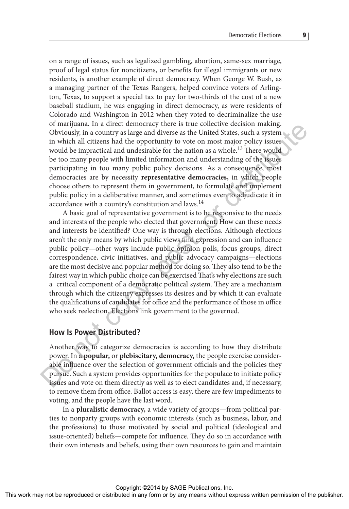on a range of issues, such as legalized gambling, abortion, same-sex marriage, proof of legal status for noncitizens, or benefits for illegal immigrants or new residents, is another example of direct democracy. When George W. Bush, as a managing partner of the Texas Rangers, helped convince voters of Arlington, Texas, to support a special tax to pay for two-thirds of the cost of a new baseball stadium, he was engaging in direct democracy, as were residents of Colorado and Washington in 2012 when they voted to decriminalize the use of marijuana. In a direct democracy there is true collective decision making. Obviously, in a country as large and diverse as the United States, such a system in which all citizens had the opportunity to vote on most major policy issues would be impractical and undesirable for the nation as a whole.<sup>13</sup> There would be too many people with limited information and understanding of the issues participating in too many public policy decisions. As a consequence, most democracies are by necessity **representative democracies,** in which people choose others to represent them in government, to formulate and implement public policy in a deliberative manner, and sometimes even to adjudicate it in accordance with a country's constitution and laws.14

A basic goal of representative government is to be responsive to the needs and interests of the people who elected that government. How can these needs and interests be identified? One way is through elections. Although elections aren't the only means by which public views find expression and can influence public policy—other ways include public opinion polls, focus groups, direct correspondence, civic initiatives, and public advocacy campaigns—elections are the most decisive and popular method for doing so. They also tend to be the fairest way in which public choice can be exercised That's why elections are such a critical component of a democratic political system. They are a mechanism through which the citizenry expresses its desires and by which it can evaluate the qualifications of candidates for office and the performance of those in office who seek reelection. Elections link government to the governed. In the relations of controlled in the reproduced or distributed in any fitting the reproduced or distributed in any form or the relationship in the reproduced or the relationship is the comparison of the publisher permiss

### **How Is Power Distributed?**

Another way to categorize democracies is according to how they distribute power. In a **popular,** or **plebiscitary, democracy,** the people exercise considerable influence over the selection of government officials and the policies they pursue. Such a system provides opportunities for the populace to initiate policy issues and vote on them directly as well as to elect candidates and, if necessary, to remove them from office. Ballot access is easy, there are few impediments to voting, and the people have the last word.

In a **pluralistic democracy,** a wide variety of groups—from political parties to nonparty groups with economic interests (such as business, labor, and the professions) to those motivated by social and political (ideological and issue-oriented) beliefs—compete for influence. They do so in accordance with their own interests and beliefs, using their own resources to gain and maintain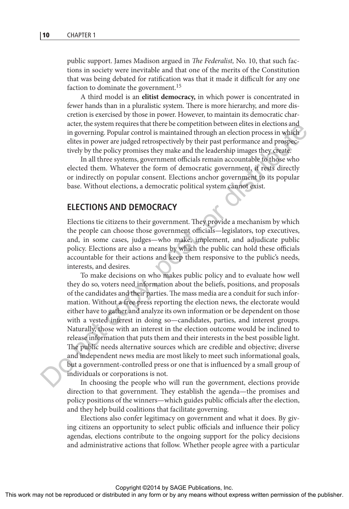public support. James Madison argued in *The Federalist,* No. 10, that such factions in society were inevitable and that one of the merits of the Constitution that was being debated for ratification was that it made it difficult for any one faction to dominate the government.<sup>15</sup>

A third model is an **elitist democracy,** in which power is concentrated in fewer hands than in a pluralistic system. There is more hierarchy, and more discretion is exercised by those in power. However, to maintain its democratic character, the system requires that there be competition between elites in elections and in governing. Popular control is maintained through an election process in which elites in power are judged retrospectively by their past performance and prospectively by the policy promises they make and the leadership images they create.

In all three systems, government officials remain accountable to those who elected them. Whatever the form of democratic government, it rests directly or indirectly on popular consent. Elections anchor government to its popular base. Without elections, a democratic political system cannot exist.

### **ELECTIONS AND DEMOCRACY**

Elections tie citizens to their government. They provide a mechanism by which the people can choose those government officials—legislators, top executives, and, in some cases, judges—who make, implement, and adjudicate public policy. Elections are also a means by which the public can hold these officials accountable for their actions and keep them responsive to the public's needs, interests, and desires.

To make decisions on who makes public policy and to evaluate how well they do so, voters need information about the beliefs, positions, and proposals of the candidates and their parties. The mass media are a conduit for such information. Without a free press reporting the election news, the electorate would either have to gather and analyze its own information or be dependent on those with a vested interest in doing so—candidates, parties, and interest groups. Naturally, those with an interest in the election outcome would be inclined to release information that puts them and their interests in the best possible light. The public needs alternative sources which are credible and objective; diverse and independent news media are most likely to meet such informational goals, but a government-controlled press or one that is influenced by a small group of individuals or corporations is not. The results of the publisherial control in any form of the publisherial components of the publisherial components with the publisherial components of the publisherial control to the publisherial control to the publisheria

In choosing the people who will run the government, elections provide direction to that government. They establish the agenda—the promises and policy positions of the winners—which guides public officials after the election, and they help build coalitions that facilitate governing.

Elections also confer legitimacy on government and what it does. By giving citizens an opportunity to select public officials and influence their policy agendas, elections contribute to the ongoing support for the policy decisions and administrative actions that follow. Whether people agree with a particular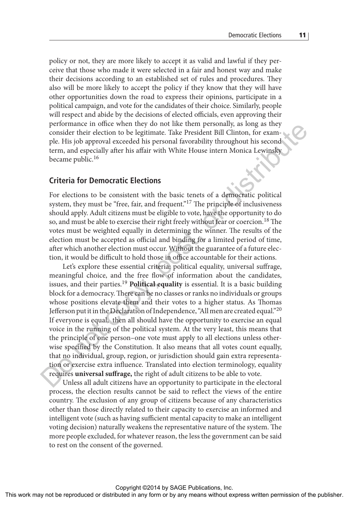policy or not, they are more likely to accept it as valid and lawful if they perceive that those who made it were selected in a fair and honest way and make their decisions according to an established set of rules and procedures. They also will be more likely to accept the policy if they know that they will have other opportunities down the road to express their opinions, participate in a political campaign, and vote for the candidates of their choice. Similarly, people will respect and abide by the decisions of elected officials, even approving their performance in office when they do not like them personally, as long as they consider their election to be legitimate. Take President Bill Clinton, for example. His job approval exceeded his personal favorability throughout his second term, and especially after his affair with White House intern Monica Lewinsky became public.<sup>16</sup>

### **Criteria for Democratic Elections**

For elections to be consistent with the basic tenets of a democratic political system, they must be "free, fair, and frequent."<sup>17</sup> The principle of inclusiveness should apply. Adult citizens must be eligible to vote, have the opportunity to do so, and must be able to exercise their right freely without fear or coercion.18 The votes must be weighted equally in determining the winner. The results of the election must be accepted as official and binding for a limited period of time, after which another election must occur. Without the guarantee of a future election, it would be difficult to hold those in office accountable for their actions.

Let's explore these essential criteria: political equality, universal suffrage, meaningful choice, and the free flow of information about the candidates, issues, and their parties.19 **Political equality** is essential. It is a basic building block for a democracy. There can be no classes or ranks no individuals or groups whose positions elevate them and their votes to a higher status. As Thomas Jefferson put it in the Declaration of Independence, "All men are created equal."<sup>20</sup> If everyone is equal, then all should have the opportunity to exercise an equal voice in the running of the political system. At the very least, this means that the principle of one person–one vote must apply to all elections unless otherwise specified by the Constitution. It also means that all votes count equally, that no individual, group, region, or jurisdiction should gain extra representation or exercise extra influence. Translated into election terminology, equality requires **universal suffrage,** the right of adult citizens to be able to vote. EV and the repression of the rest in any mean in any form or the rest in any means with the recent in a scenario permission accepted in separation with the scenario permission of the rest in the publisher. The product in

Unless all adult citizens have an opportunity to participate in the electoral process, the election results cannot be said to reflect the views of the entire country. The exclusion of any group of citizens because of any characteristics other than those directly related to their capacity to exercise an informed and intelligent vote (such as having sufficient mental capacity to make an intelligent voting decision) naturally weakens the representative nature of the system. The more people excluded, for whatever reason, the less the government can be said to rest on the consent of the governed.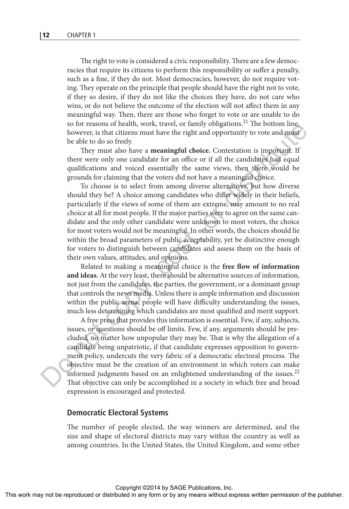The right to vote is considered a civic responsibility. There are a few democracies that require its citizens to perform this responsibility or suffer a penalty, such as a fine, if they do not. Most democracies, however, do not require voting. They operate on the principle that people should have the right not to vote, if they so desire, if they do not like the choices they have, do not care who wins, or do not believe the outcome of the election will not affect them in any meaningful way. Then, there are those who forget to vote or are unable to do so for reasons of health, work, travel, or family obligations.21 The bottom line, however, is that citizens must have the right and opportunity to vote and must be able to do so freely.

They must also have a **meaningful choice.** Contestation is important. If there were only one candidate for an office or if all the candidates had equal qualifications and voiced essentially the same views, then there would be grounds for claiming that the voters did not have a meaningful choice.

To choose is to select from among diverse alternatives, but how diverse should they be? A choice among candidates who differ widely in their beliefs, particularly if the views of some of them are extreme, may amount to no real choice at all for most people. If the major parties were to agree on the same candidate and the only other candidate were unknown to most voters, the choice for most voters would not be meaningful. In other words, the choices should lie within the broad parameters of public acceptability, yet be distinctive enough for voters to distinguish between candidates and assess them on the basis of their own values, attitudes, and opinions. Sources, is that chieses written to their vector or distributed in any form or by any form or the reproduced or the reproduced in any form or the publisher and we concelled the publisher and with the server or the publish

Related to making a meaningful choice is the **free flow of information and ideas.** At the very least, there should be alternative sources of information, not just from the candidates, the parties, the government, or a dominant group that controls the news media. Unless there is ample information and discussion within the public arena, people will have difficulty understanding the issues, much less determining which candidates are most qualified and merit support.

A free press that provides this information is essential. Few, if any, subjects, issues, or questions should be off limits. Few, if any, arguments should be precluded, no matter how unpopular they may be. That is why the allegation of a candidate being unpatriotic, if that candidate expresses opposition to government policy, undercuts the very fabric of a democratic electoral process. The objective must be the creation of an environment in which voters can make informed judgments based on an enlightened understanding of the issues.<sup>22</sup> That objective can only be accomplished in a society in which free and broad expression is encouraged and protected.

#### **Democratic Electoral Systems**

The number of people elected, the way winners are determined, and the size and shape of electoral districts may vary within the country as well as among countries. In the United States, the United Kingdom, and some other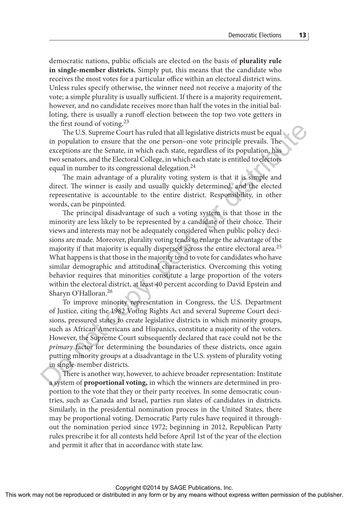democratic nations, public officials are elected on the basis of **plurality rule in single-member districts.** Simply put, this means that the candidate who receives the most votes for a particular office within an electoral district wins. Unless rules specify otherwise, the winner need not receive a majority of the vote; a simple plurality is usually sufficient. If there is a majority requirement, however, and no candidate receives more than half the votes in the initial balloting, there is usually a runoff election between the top two vote getters in the first round of voting.<sup>23</sup>

The U.S. Supreme Court has ruled that all legislative districts must be equal in population to ensure that the one person–one vote principle prevails. The exceptions are the Senate, in which each state, regardless of its population, has two senators, and the Electoral College, in which each state is entitled to electors equal in number to its congressional delegation.<sup>24</sup>

The main advantage of a plurality voting system is that it is simple and direct. The winner is easily and usually quickly determined, and the elected representative is accountable to the entire district. Responsibility, in other words, can be pinpointed.

The principal disadvantage of such a voting system is that those in the minority are less likely to be represented by a candidate of their choice. Their views and interests may not be adequately considered when public policy decisions are made. Moreover, plurality voting tends to enlarge the advantage of the majority if that majority is equally dispersed across the entire electoral area.<sup>25</sup> What happens is that those in the majority tend to vote for candidates who have similar demographic and attitudinal characteristics. Overcoming this voting behavior requires that minorities constitute a large proportion of the voters within the electoral district, at least 40 percent according to David Epstein and Sharyn O'Halloran.26 IF the control of the reproduced or distributed in any form of the reproduced or distributed in the reproduced or the response we can be published in a under this this control or the published or the published or the publi

To improve minority representation in Congress, the U.S. Department of Justice, citing the 1982 Voting Rights Act and several Supreme Court decisions, pressured states to create legislative districts in which minority groups, such as African Americans and Hispanics, constitute a majority of the voters. However, the Supreme Court subsequently declared that race could not be the *primary* factor for determining the boundaries of these districts, once again putting minority groups at a disadvantage in the U.S. system of plurality voting in single-member districts.

There is another way, however, to achieve broader representation: Institute a system of **proportional voting,** in which the winners are determined in proportion to the vote that they or their party receives. In some democratic countries, such as Canada and Israel, parties run slates of candidates in districts. Similarly, in the presidential nomination process in the United States, there may be proportional voting. Democratic Party rules have required it throughout the nomination period since 1972; beginning in 2012, Republican Party rules prescribe it for all contests held before April 1st of the year of the election and permit it after that in accordance with state law.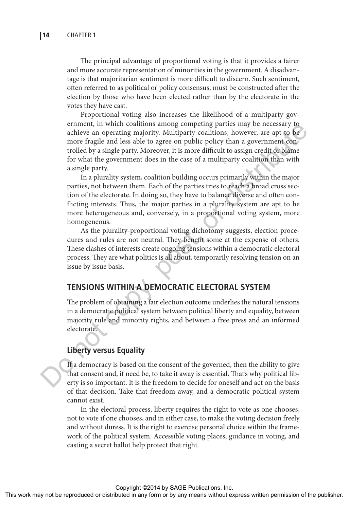The principal advantage of proportional voting is that it provides a fairer and more accurate representation of minorities in the government. A disadvantage is that majoritarian sentiment is more difficult to discern. Such sentiment, often referred to as political or policy consensus, must be constructed after the election by those who have been elected rather than by the electorate in the votes they have cast.

Proportional voting also increases the likelihood of a multiparty government, in which coalitions among competing parties may be necessary to achieve an operating majority. Multiparty coalitions, however, are apt to be more fragile and less able to agree on public policy than a government controlled by a single party. Moreover, it is more difficult to assign credit or blame for what the government does in the case of a multiparty coalition than with a single party.

In a plurality system, coalition building occurs primarily within the major parties, not between them. Each of the parties tries to reach a broad cross section of the electorate. In doing so, they have to balance diverse and often conflicting interests. Thus, the major parties in a plurality system are apt to be more heterogeneous and, conversely, in a proportional voting system, more homogeneous. entrino, an work consideration or the reproduced or distributed in any form or any form or finith and the respect or public public that are not the public or the public or by any form or by any form or by any form or by an

As the plurality-proportional voting dichotomy suggests, election procedures and rules are not neutral. They benefit some at the expense of others. These clashes of interests create ongoing tensions within a democratic electoral process. They are what politics is all about, temporarily resolving tension on an issue by issue basis.

# **TENSIONS WITHIN A DEMOCRATIC ELECTORAL SYSTEM**

The problem of obtaining a fair election outcome underlies the natural tensions in a democratic political system between political liberty and equality, between majority rule and minority rights, and between a free press and an informed electorate.

### **Liberty versus Equality**

If a democracy is based on the consent of the governed, then the ability to give that consent and, if need be, to take it away is essential. That's why political liberty is so important. It is the freedom to decide for oneself and act on the basis of that decision. Take that freedom away, and a democratic political system cannot exist.

In the electoral process, liberty requires the right to vote as one chooses, not to vote if one chooses, and in either case, to make the voting decision freely and without duress. It is the right to exercise personal choice within the framework of the political system. Accessible voting places, guidance in voting, and casting a secret ballot help protect that right.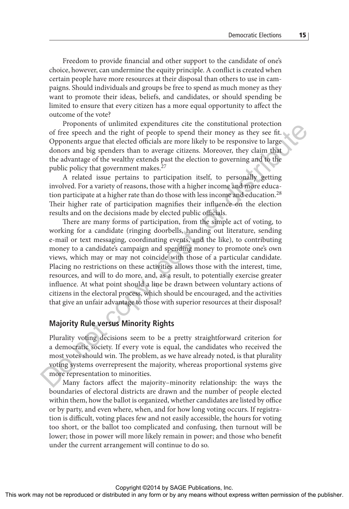Freedom to provide financial and other support to the candidate of one's choice, however, can undermine the equity principle. A conflict is created when certain people have more resources at their disposal than others to use in campaigns. Should individuals and groups be free to spend as much money as they want to promote their ideas, beliefs, and candidates, or should spending be limited to ensure that every citizen has a more equal opportunity to affect the outcome of the vote?

Proponents of unlimited expenditures cite the constitutional protection of free speech and the right of people to spend their money as they see fit. Opponents argue that elected officials are more likely to be responsive to large donors and big spenders than to average citizens. Moreover, they claim that the advantage of the wealthy extends past the election to governing and to the public policy that government makes.<sup>27</sup>

A related issue pertains to participation itself, to personally getting involved. For a variety of reasons, those with a higher income and more education participate at a higher rate than do those with less income and education.<sup>28</sup> Their higher rate of participation magnifies their influence on the election results and on the decisions made by elected public officials.

There are many forms of participation, from the simple act of voting, to working for a candidate (ringing doorbells, handing out literature, sending e-mail or text messaging, coordinating events, and the like), to contributing money to a candidate's campaign and spending money to promote one's own views, which may or may not coincide with those of a particular candidate. Placing no restrictions on these activities allows those with the interest, time, resources, and will to do more, and, as a result, to potentially exercise greater influence. At what point should a line be drawn between voluntary actions of citizens in the electoral process, which should be encouraged, and the activities that give an unfair advantage to those with superior resources at their disposal? The most may not be reproduced or distributed in any form or by any permission of the reproduced or distributed in any form or by any permission or  $\hat{H}$  the respective distributed in a mean star of the present of the p

### **Majority Rule versus Minority Rights**

Plurality voting decisions seem to be a pretty straightforward criterion for a democratic society. If every vote is equal, the candidates who received the most votes should win. The problem, as we have already noted, is that plurality voting systems overrepresent the majority, whereas proportional systems give more representation to minorities.

Many factors affect the majority–minority relationship: the ways the boundaries of electoral districts are drawn and the number of people elected within them, how the ballot is organized, whether candidates are listed by office or by party, and even where, when, and for how long voting occurs. If registration is difficult, voting places few and not easily accessible, the hours for voting too short, or the ballot too complicated and confusing, then turnout will be lower; those in power will more likely remain in power; and those who benefit under the current arrangement will continue to do so.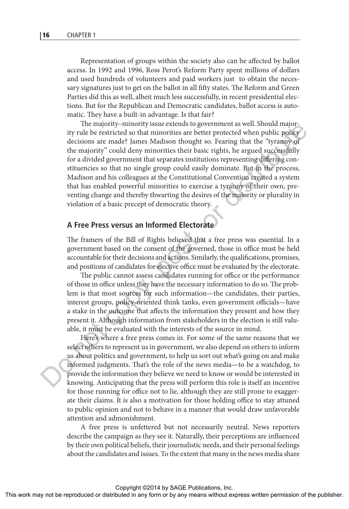Representation of groups within the society also can be affected by ballot access. In 1992 and 1996, Ross Perot's Reform Party spent millions of dollars and used hundreds of volunteers and paid workers just to obtain the necessary signatures just to get on the ballot in all fifty states. The Reform and Green Parties did this as well, albeit much less successfully, in recent presidential elections. But for the Republican and Democratic candidates, ballot access is automatic. They have a built-in advantage. Is that fair?

The majority–minority issue extends to government as well. Should majority rule be restricted so that minorities are better protected when public policy decisions are made? James Madison thought so. Fearing that the "tyranny of the majority" could deny minorities their basic rights, he argued successfully for a divided government that separates institutions representing differing constituencies so that no single group could easily dominate. But in the process, Madison and his colleagues at the Constitutional Convention created a system that has enabled powerful minorities to exercise a tyranny of their own, preventing change and thereby thwarting the desires of the majority or plurality in violation of a basic precept of democratic theory.

### **A Free Press versus an Informed Electorate**

The framers of the Bill of Rights believed that a free press was essential. In a government based on the consent of the governed, those in office must be held accountable for their decisions and actions. Similarly, the qualifications, promises, and positions of candidates for elective office must be evaluated by the electorate.

The public cannot assess candidates running for office or the performance of those in office unless they have the necessary information to do so. The problem is that most sources for such information—the candidates, their parties, interest groups, policy-oriented think tanks, even government officials—have a stake in the outcome that affects the information they present and how they present it. Although information from stakeholders in the election is still valuable, it must be evaluated with the interests of the source in mind.

Here's where a free press comes in. For some of the same reasons that we select others to represent us in government, we also depend on others to inform us about politics and government, to help us sort out what's going on and make informed judgments. That's the role of the news media—to be a watchdog, to provide the information they believe we need to know or would be interested in knowing. Anticipating that the press will perform this role is itself an incentive for those running for office not to lie, although they are still prone to exaggerate their claims. It is also a motivation for those holding office to stay attuned to public opinion and not to behave in a manner that would draw unfavorable attention and admonishment. The may not the standard to the standard or the publisher and the standard or the standard constraints that the tyrems of the publisher and the publisher and the publisher and the publisher. And the publisher and the publi

A free press is unfettered but not necessarily neutral. News reporters describe the campaign as they see it. Naturally, their perceptions are influenced by their own political beliefs, their journalistic needs, and their personal feelings about the candidates and issues. To the extent that many in the news media share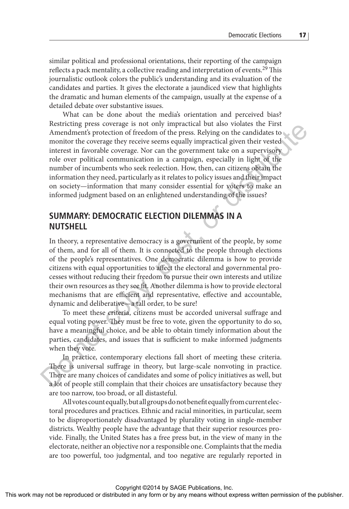similar political and professional orientations, their reporting of the campaign reflects a pack mentality, a collective reading and interpretation of events.29 This journalistic outlook colors the public's understanding and its evaluation of the candidates and parties. It gives the electorate a jaundiced view that highlights the dramatic and human elements of the campaign, usually at the expense of a detailed debate over substantive issues.

What can be done about the media's orientation and perceived bias? Restricting press coverage is not only impractical but also violates the First Amendment's protection of freedom of the press. Relying on the candidates to monitor the coverage they receive seems equally impractical given their vested interest in favorable coverage. Nor can the government take on a supervisory role over political communication in a campaign, especially in light of the number of incumbents who seek reelection. How, then, can citizens obtain the information they need, particularly as it relates to policy issues and their impact on society—information that many consider essential for voters to make an informed judgment based on an enlightened understanding of the issues? Assume the recent space of the reproduced or the results of the results of the recent space they are computed in any tower or the results of the recent space the results of the results of the results of the results of the

### **SUMMARY: DEMOCRATIC ELECTION DILEMMAS IN A NUTSHELL**

In theory, a representative democracy is a government of the people, by some of them, and for all of them. It is connected to the people through elections of the people's representatives. One democratic dilemma is how to provide citizens with equal opportunities to affect the electoral and governmental processes without reducing their freedom to pursue their own interests and utilize their own resources as they see fit. Another dilemma is how to provide electoral mechanisms that are efficient and representative, effective and accountable, dynamic and deliberative—a tall order, to be sure!

To meet these criteria, citizens must be accorded universal suffrage and equal voting power. They must be free to vote, given the opportunity to do so, have a meaningful choice, and be able to obtain timely information about the parties, candidates, and issues that is sufficient to make informed judgments when they vote.

In practice, contemporary elections fall short of meeting these criteria. There is universal suffrage in theory, but large-scale nonvoting in practice. There are many choices of candidates and some of policy initiatives as well, but a lot of people still complain that their choices are unsatisfactory because they are too narrow, too broad, or all distasteful.

All votes count equally, but all groups do not benefit equally from current electoral procedures and practices. Ethnic and racial minorities, in particular, seem to be disproportionately disadvantaged by plurality voting in single-member districts. Wealthy people have the advantage that their superior resources provide. Finally, the United States has a free press but, in the view of many in the electorate, neither an objective nor a responsible one. Complaints that the media are too powerful, too judgmental, and too negative are regularly reported in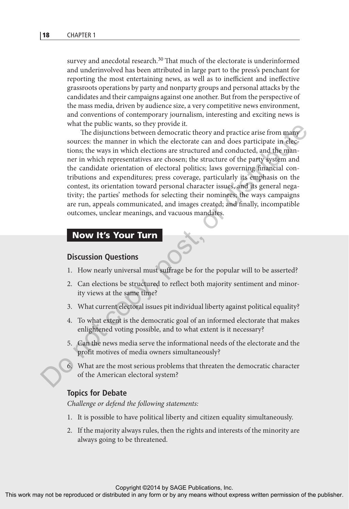survey and anecdotal research.<sup>30</sup> That much of the electorate is underinformed and underinvolved has been attributed in large part to the press's penchant for reporting the most entertaining news, as well as to inefficient and ineffective grassroots operations by party and nonparty groups and personal attacks by the candidates and their campaigns against one another. But from the perspective of the mass media, driven by audience size, a very competitive news environment, and conventions of contemporary journalism, interesting and exciting news is what the public wants, so they provide it.

The disjunctions between democratic theory and practice arise from many sources: the manner in which the electorate can and does participate in elections; the ways in which elections are structured and conducted, and the manner in which representatives are chosen; the structure of the party system and the candidate orientation of electoral politics; laws governing financial contributions and expenditures; press coverage, particularly its emphasis on the contest, its orientation toward personal character issues, and its general negativity; the parties' methods for selecting their nominees; the ways campaigns are run, appeals communicated, and images created; and finally, incompatible outcomes, unclear meanings, and vacuous mandates. Figure 2021 and the relations of the means the within the economics. The distributed in spectrum and the publisher manner in which the decision on and do sparting to the most particular the relation of the control of the

### Now It's Your Turn

### **Discussion Questions**

- 1. How nearly universal must suffrage be for the popular will to be asserted?
- 2. Can elections be structured to reflect both majority sentiment and minority views at the same time?
- 3. What current electoral issues pit individual liberty against political equality?
- 4. To what extent is the democratic goal of an informed electorate that makes enlightened voting possible, and to what extent is it necessary?
- 5. Can the news media serve the informational needs of the electorate and the profit motives of media owners simultaneously?
- 6. What are the most serious problems that threaten the democratic character of the American electoral system?

### **Topics for Debate**

*Challenge or defend the following statements:*

- 1. It is possible to have political liberty and citizen equality simultaneously.
- 2. If the majority always rules, then the rights and interests of the minority are always going to be threatened.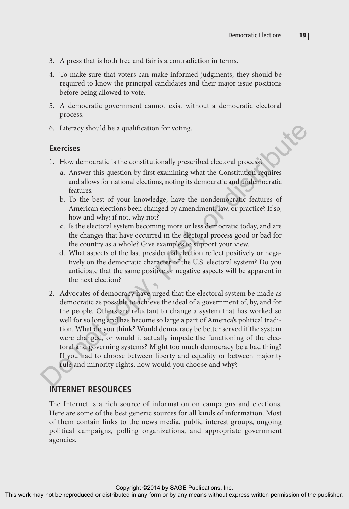- 3. A press that is both free and fair is a contradiction in terms.
- 4. To make sure that voters can make informed judgments, they should be required to know the principal candidates and their major issue positions before being allowed to vote.
- 5. A democratic government cannot exist without a democratic electoral process.
- 6. Literacy should be a qualification for voting.

### **Exercises**

- 1. How democratic is the constitutionally prescribed electoral process?
	- a. Answer this question by first examining what the Constitution requires and allows for national elections, noting its democratic and undemocratic features.
	- b. To the best of your knowledge, have the nondemocratic features of American elections been changed by amendment, law, or practice? If so, how and why; if not, why not?
	- c. Is the electoral system becoming more or less democratic today, and are the changes that have occurred in the electoral process good or bad for the country as a whole? Give examples to support your view.
	- d. What aspects of the last presidential election reflect positively or negatively on the democratic character of the U.S. electoral system? Do you anticipate that the same positive or negative aspects will be apparent in the next election?
- 2. Advocates of democracy have urged that the electoral system be made as democratic as possible to achieve the ideal of a government of, by, and for the people. Others are reluctant to change a system that has worked so well for so long and has become so large a part of America's political tradition. What do you think? Would democracy be better served if the system were changed, or would it actually impede the functioning of the electoral and governing systems? Might too much democracy be a bad thing? If you had to choose between liberty and equality or between majority rule and minority rights, how would you choose and why? 6. Literacy should be a qualification for voting.<br> **Exercises**<br>
1. How democratic side constitutionally prescribed electoral processical<br>
2. An Answer this question by first examining what the Constitution regulies<br>
featu

# **INTERNET RESOURCES**

The Internet is a rich source of information on campaigns and elections. Here are some of the best generic sources for all kinds of information. Most of them contain links to the news media, public interest groups, ongoing political campaigns, polling organizations, and appropriate government agencies.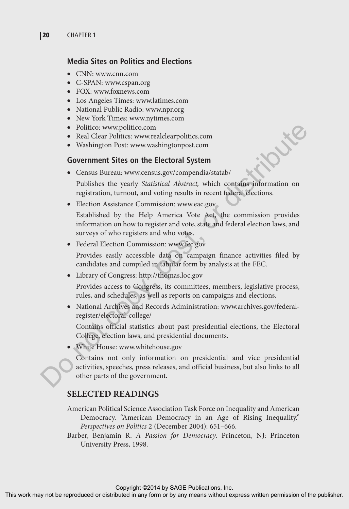### **Media Sites on Politics and Elections**

- CNN: www.cnn.com
- C-SPAN: www.cspan.org
- FOX: www.foxnews.com
- Los Angeles Times: www.latimes.com
- National Public Radio: www.npr.org
- New York Times: www.nytimes.com
- Politico: www.politico.com
- Real Clear Politics: www.realclearpolitics.com
- Washington Post: www.washingtonpost.com

### **Government Sites on the Electoral System**

• Census Bureau: www.census.gov/compendia/statab/

Publishes the yearly *Statistical Abstract,* which contains information on registration, turnout, and voting results in recent federal elections.

• Election Assistance Commission: www.eac.gov

Established by the Help America Vote Act, the commission provides information on how to register and vote, state and federal election laws, and surveys of who registers and who votes.

• Federal Election Commission: www.fec.gov

Provides easily accessible data on campaign finance activities filed by candidates and compiled in tabular form by analysts at the FEC.

• Library of Congress: http://thomas.loc.gov

Provides access to Congress, its committees, members, legislative process, rules, and schedules, as well as reports on campaigns and elections.

• National Archives and Records Administration: www.archives.gov/federalregister/electoral-college/

Contains official statistics about past presidential elections, the Electoral College, election laws, and presidential documents.

• White House: www.whitehouse.gov

Contains not only information on presidential and vice presidential activities, speeches, press releases, and official business, but also links to all other parts of the government.

### **SELECTED READINGS**

American Political Science Association Task Force on Inequality and American Democracy. "American Democracy in an Age of Rising Inequality." *Perspectives on Politics* 2 (December 2004): 651–666. • Politicus work may politicus comment Sites and the Electoral System<br>
Government Sites and the Electoral System<br>
• Census Bureau wove.cransus.gov/compendia/stutable<br>
• probabised by the Help America Note Aqs. Uncertificat

Barber, Benjamin R. *A Passion for Democracy*. Princeton, NJ: Princeton University Press, 1998.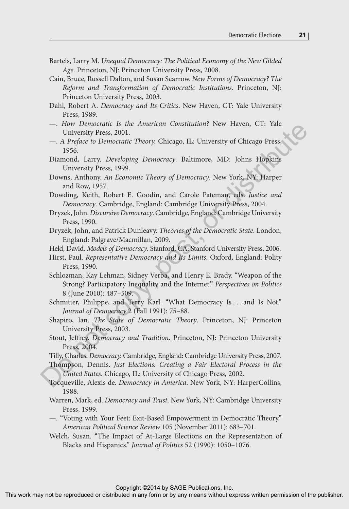- Bartels, Larry M. *Unequal Democracy: The Political Economy of the New Gilded Age*. Princeton, NJ: Princeton University Press, 2008.
- Cain, Bruce, Russell Dalton, and Susan Scarrow. *New Forms of Democracy? The Reform and Transformation of Democratic Institutions*. Princeton, NJ: Princeton University Press, 2003.
- Dahl, Robert A. *Democracy and Its Critics*. New Haven, CT: Yale University Press, 1989.
- —. *How Democratic Is the American Constitution?* New Haven, CT: Yale University Press, 2001.
- —. *A Preface to Democratic Theory.* Chicago, IL: University of Chicago Press, 1956.
- Diamond, Larry. *Developing Democracy*. Baltimore, MD: Johns Hopkins University Press, 1999.
- Downs, Anthony. *An Economic Theory of Democracy*. New York, NY: Harper and Row, 1957.
- Dowding, Keith, Robert E. Goodin, and Carole Pateman, eds. *Justice and Democracy*. Cambridge, England: Cambridge University Press, 2004.
- Dryzek, John. *Discursive Democracy*. Cambridge, England: Cambridge University Press, 1990.
- Dryzek, John, and Patrick Dunleavy. *Theories of the Democratic State*. London, England: Palgrave/Macmillan, 2009.
- Held, David. *Models of Democracy*. Stanford, CA: Stanford University Press, 2006.
- Hirst, Paul. *Representative Democracy and Its Limits*. Oxford, England: Polity Press, 1990.
- Schlozman, Kay Lehman, Sidney Verba, and Henry E. Brady. "Weapon of the Strong? Participatory Inequality and the Internet." *Perspectives on Politics* 8 (June 2010): 487–509. This work may not be reproduced or distributed in any formulations were reproduced by the reproduced or distributed in any positive distributed in the publisher.<br>
Diamond, Larry, Desdeping Democracy, Baltimore, MP: Johns
	- Schmitter, Philippe, and Terry Karl. "What Democracy Is . . . and Is Not." *Journal of Democracy* 2 (Fall 1991): 75–88.
	- Shapiro, Ian. *The State of Democratic Theory*. Princeton, NJ: Princeton University Press, 2003.
	- Stout, Jeffrey. *Democracy and Tradition*. Princeton, NJ: Princeton University Press, 2004.

Tilly, Charles. *Democracy.* Cambridge, England: Cambridge University Press, 2007.

- Thompson, Dennis. *Just Elections: Creating a Fair Electoral Process in the United States*. Chicago, IL: University of Chicago Press, 2002.
- Tocqueville, Alexis de. *Democracy in America*. New York, NY: HarperCollins, 1988.
- Warren, Mark, ed. *Democracy and Trust*. New York, NY: Cambridge University Press, 1999.
- —. "Voting with Your Feet: Exit-Based Empowerment in Democratic Theory." *American Political Science Review* 105 (November 2011): 683–701.
- Welch, Susan. "The Impact of At-Large Elections on the Representation of Blacks and Hispanics." *Journal of Politics* 52 (1990): 1050–1076.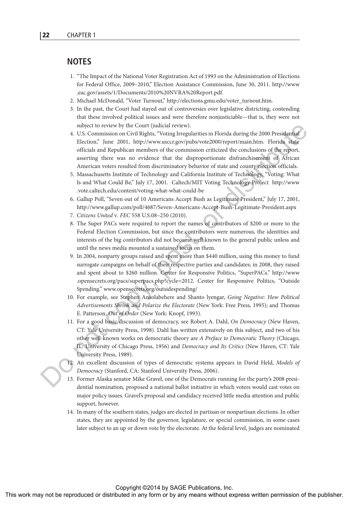### **NOTES**

- 1. "The Impact of the National Voter Registration Act of 1993 on the Administration of Elections for Federal Office, 2009–2010," Election Assistance Commission, June 30, 2011. http://www .eac.gov/assets/1/Documents/2010%20NVRA%20Report.pdf.
- 2. Michael McDonald, "Voter Turnout," http://elections.gmu.edu/voter\_turnout.htm.
- 3. In the past, the Court had stayed out of controversies over legislative districting, contending that these involved political issues and were therefore nonjusticiable—that is, they were not subject to review by the Court (judicial review).
- 4. U.S. Commission on Civil Rights, "Voting Irregularities in Florida during the 2000 Presidential Election," June 2001, http://www.usccr.gov/pubs/vote2000/report/main.htm. Florida state officials and Republican members of the commission criticized the conclusions of the report, asserting there was no evidence that the disproportionate disfranchisement of African American voters resulted from discriminatory behavior of state and county election officials. subject to reverse by the Control original metric. The results of Control original metric is a continue that the publisher or action of the publisher or the control original metric. The control of the publisher or distrib
	- 5. Massachusetts Institute of Technology and California Institute of Technology, "Voting: What Is and What Could Be," July 17, 2001. Caltech/MIT Voting Technology Project http://www .vote.caltech.edu/content/voting-what-what-could-be
	- 6. Gallup Poll, "Seven out of 10 Americans Accept Bush as Legitimate President," July 17, 2001, http://www.gallup.com/poll/4687/Seven-Americans-Accept-Bush-Legitimate-President.aspx
	- 7. *Citizens United* v*. FEC* 558 U.S.08–250 (2010).
	- 8. The Super PACs were required to report the names of contributors of \$200 or more to the Federal Election Commission, but since the contributors were numerous, the identities and interests of the big contributors did not become well known to the general public unless and until the news media mounted a sustained focus on them.
	- 9. In 2004, nonparty groups raised and spent more than \$440 million, using this money to fund surrogate campaigns on behalf of their respective parties and candidates; in 2008, they raised and spent about to \$260 million. Center for Responsive Politics, "SuperPACs." http://www .opensecrets.org/pacs/superpacs.php?cycle=2012. Center for Responsive Politics, "Outside Spending." www.opensecrets.org/outsidespending/
	- 10. For example, see Stephen Ansolabehere and Shanto lyengar, *Going Negative: How Political Advertisements Shrink and Polarize the Electorate* (New York: Free Press, 1995); and Thomas E. Patterson, *Out of Order* (New York: Knopf, 1993).
	- 11. For a good basic discussion of democracy, see Robert A. Dahl, *On Democracy* (New Haven, CT: Yale University Press, 1998). Dahl has written extensively on this subject, and two of his other well-known works on democratic theory are *A Preface to Democratic Theory* (Chicago, IL: University of Chicago Press, 1956) and *Democracy and Its Critics* (New Haven, CT: Yale University Press, 1989).
	- 12. An excellent discussion of types of democratic systems appears in David Held, *Models of Democracy* (Stanford, CA: Stanford University Press, 2006).
	- 13. Former Alaska senator Mike Gravel, one of the Democrats running for the party's 2008 presidential nomination, proposed a national ballot initiative in which voters would cast votes on major policy issues. Gravel's proposal and candidacy received little media attention and public support, however.
	- 14. In many of the southern states, judges are elected in partisan or nonpartisan elections. In other states, they are appointed by the governor, legislature, or special commission, in some cases later subject to an up or down vote by the electorate. At the federal level, judges are nominated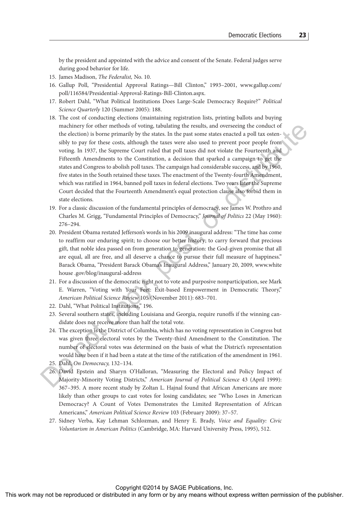by the president and appointed with the advice and consent of the Senate. Federal judges serve during good behavior for life.

- 15. James Madison, *The Federalist,* No. 10.
- 16. Gallup Poll, "Presidential Approval Ratings—Bill Clinton," 1993–2001, www.gallup.com/ poll/116584/Presidential-Approval-Ratings-Bill-Clinton.aspx.
- 17. Robert Dahl, "What Political Institutions Does Large-Scale Democracy Require?" *Political Science Quarterly* 120 (Summer 2005): 188.
- 18. The cost of conducting elections (maintaining registration lists, printing ballots and buying machinery for other methods of voting, tabulating the results, and overseeing the conduct of the election) is borne primarily by the states. In the past some states enacted a poll tax ostensibly to pay for these costs, although the taxes were also used to prevent poor people from voting. In 1937, the Supreme Court ruled that poll taxes did not violate the Fourteenth and Fifteenth Amendments to the Constitution, a decision that sparked a campaign to get the states and Congress to abolish poll taxes. The campaign had considerable success, and by 1960, five states in the South retained these taxes. The enactment of the Twenty-fourth Amendment, which was ratified in 1964, banned poll taxes in federal elections. Two years later the Supreme Court decided that the Fourteenth Amendment's equal protection clause also forbid them in state elections. machine to controlled in the reproduced or the reproduced or distributed in any form or by any form or by any form or by any means with the publisher of the second of the publisher. The controlled in any means were contro
	- 19. For a classic discussion of the fundamental principles of democracy, see James W. Prothro and Charles M. Grigg, "Fundamental Principles of Democracy," *Journal of Politics* 22 (May 1960): 276–294.
	- 20. President Obama restated Jefferson's words in his 2009 inaugural address: "The time has come to reaffirm our enduring spirit; to choose our better history; to carry forward that precious gift, that noble idea passed on from generation to generation: the God-given promise that all are equal, all are free, and all deserve a chance to pursue their full measure of happiness." Barack Obama, "President Barack Obama's Inaugural Address," January 20, 2009, www.white house .gov/blog/inaugural-address
	- 21. For a discussion of the democratic right not to vote and purposive nonparticipation, see Mark E. Warren, "Voting with Your Feet: Exit-based Empowerment in Democratic Theory," *American Political Science Review* 105 (November 2011): 683–701.
	- 22. Dahl, "What Political Institutions," 196.
	- 23. Several southern states, including Louisiana and Georgia, require runoffs if the winning candidate does not receive more than half the total vote.
	- 24. The exception is the District of Columbia, which has no voting representation in Congress but was given three electoral votes by the Twenty-third Amendment to the Constitution. The number of electoral votes was determined on the basis of what the District's representation would have been if it had been a state at the time of the ratification of the amendment in 1961.
	- 25. Dahl, *On Democracy,* 132–134.
	- 26. David Epstein and Sharyn O'Halloran, "Measuring the Electoral and Policy Impact of Majority-Minority Voting Districts," *American Journal of Political Science* 43 (April 1999): 367–395. A more recent study by Zoltan L. Hajnal found that African Americans are more likely than other groups to cast votes for losing candidates; see "Who Loses in American Democracy? A Count of Votes Demonstrates the Limited Representation of African Americans," *American Political Science Review* 103 (February 2009): 37–57.
	- 27. Sidney Verba, Kay Lehman Schlozman, and Henry E. Brady, *Voice and Equality: Civic Voluntarism in American Politics* (Cambridge, MA: Harvard University Press, 1995), 512.